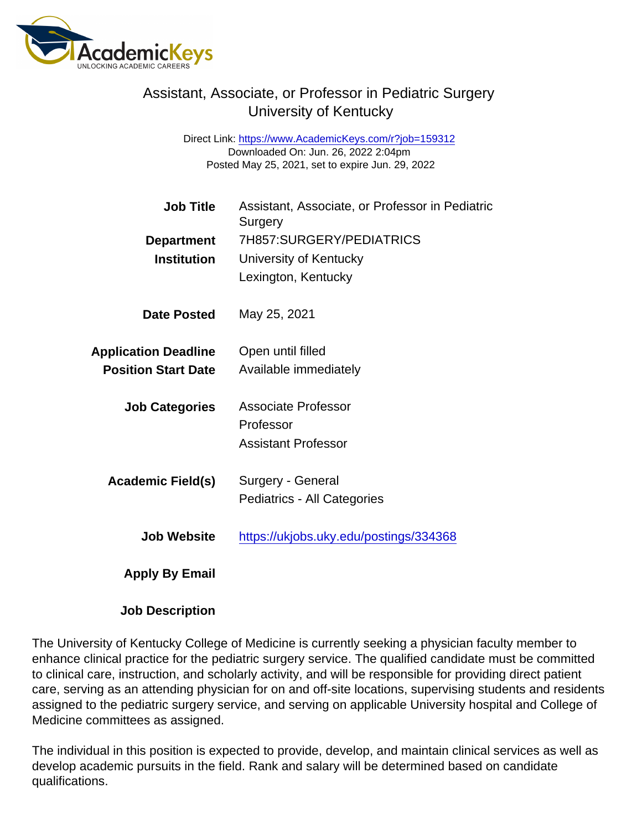## Assistant, Associate, or Professor in Pediatric Surgery University of Kentucky

Direct Link: <https://www.AcademicKeys.com/r?job=159312> Downloaded On: Jun. 26, 2022 2:04pm Posted May 25, 2021, set to expire Jun. 29, 2022

| <b>Job Title</b>            | Assistant, Associate, or Professor in Pediatric<br>Surgery |
|-----------------------------|------------------------------------------------------------|
| Department                  | 7H857:SURGERY/PEDIATRICS                                   |
| Institution                 | University of Kentucky                                     |
|                             | Lexington, Kentucky                                        |
| Date Posted                 | May 25, 2021                                               |
| <b>Application Deadline</b> | Open until filled                                          |
| <b>Position Start Date</b>  | Available immediately                                      |
| <b>Job Categories</b>       | <b>Associate Professor</b>                                 |
|                             | Professor                                                  |
|                             | <b>Assistant Professor</b>                                 |
| Academic Field(s)           | Surgery - General                                          |
|                             | Pediatrics - All Categories                                |
| Job Website                 | https://ukjobs.uky.edu/postings/334368                     |
| Apply By Email              |                                                            |

Job Description

The University of Kentucky College of Medicine is currently seeking a physician faculty member to enhance clinical practice for the pediatric surgery service. The qualified candidate must be committed to clinical care, instruction, and scholarly activity, and will be responsible for providing direct patient care, serving as an attending physician for on and off-site locations, supervising students and residents assigned to the pediatric surgery service, and serving on applicable University hospital and College of Medicine committees as assigned.

The individual in this position is expected to provide, develop, and maintain clinical services as well as develop academic pursuits in the field. Rank and salary will be determined based on candidate qualifications.